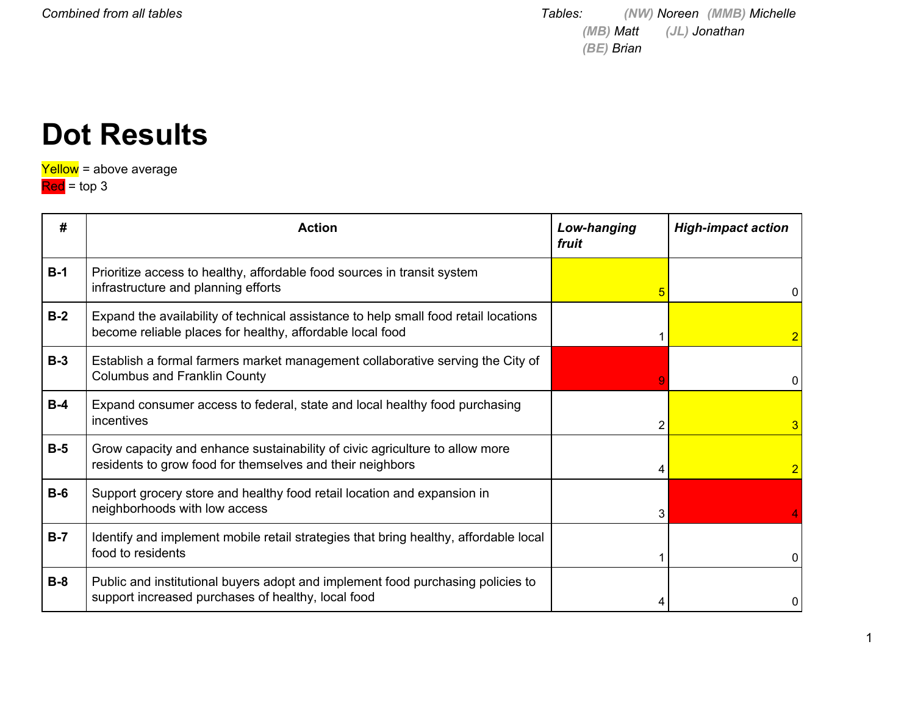*Combined from all tables Tables: (NW) Noreen (MMB) Michelle (MB) Matt (JL) Jonathan (BE) Brian*

### **Dot Results**

Yellow = above average

Red = top 3

| #     | <b>Action</b>                                                                                                                                    | Low-hanging<br>fruit | <b>High-impact action</b> |
|-------|--------------------------------------------------------------------------------------------------------------------------------------------------|----------------------|---------------------------|
| $B-1$ | Prioritize access to healthy, affordable food sources in transit system<br>infrastructure and planning efforts                                   |                      | 0                         |
| $B-2$ | Expand the availability of technical assistance to help small food retail locations<br>become reliable places for healthy, affordable local food |                      |                           |
| $B-3$ | Establish a formal farmers market management collaborative serving the City of<br><b>Columbus and Franklin County</b>                            |                      |                           |
| $B-4$ | Expand consumer access to federal, state and local healthy food purchasing<br>incentives                                                         | 2                    |                           |
| $B-5$ | Grow capacity and enhance sustainability of civic agriculture to allow more<br>residents to grow food for themselves and their neighbors         |                      |                           |
| $B-6$ | Support grocery store and healthy food retail location and expansion in<br>neighborhoods with low access                                         | 3                    |                           |
| $B-7$ | Identify and implement mobile retail strategies that bring healthy, affordable local<br>food to residents                                        |                      |                           |
| $B-8$ | Public and institutional buyers adopt and implement food purchasing policies to<br>support increased purchases of healthy, local food            |                      |                           |

1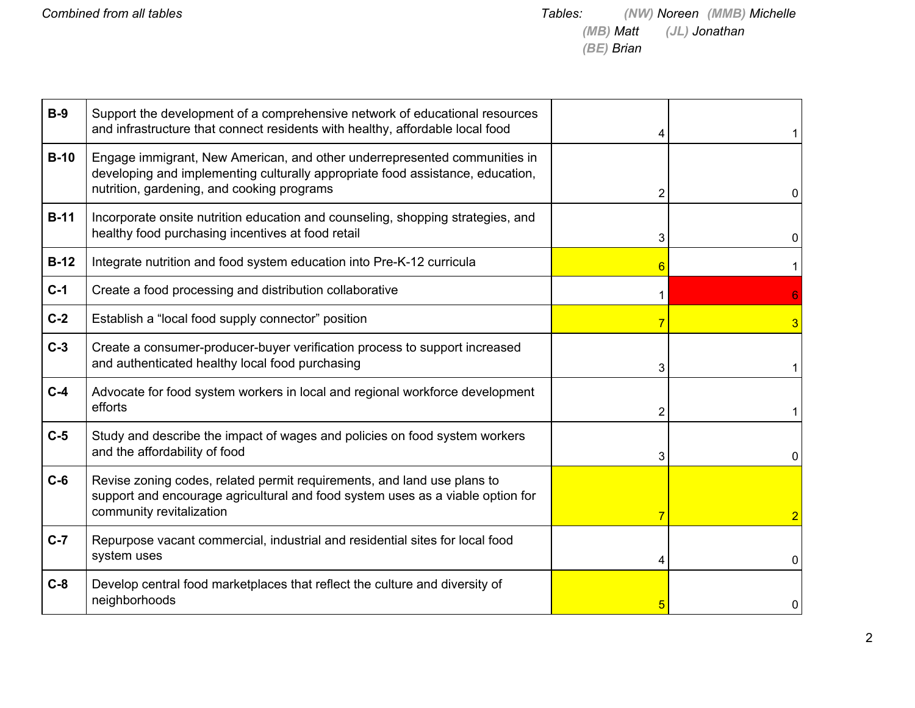| $B-9$  | Support the development of a comprehensive network of educational resources<br>and infrastructure that connect residents with healthy, affordable local food                                              |   |                |
|--------|-----------------------------------------------------------------------------------------------------------------------------------------------------------------------------------------------------------|---|----------------|
| $B-10$ | Engage immigrant, New American, and other underrepresented communities in<br>developing and implementing culturally appropriate food assistance, education,<br>nutrition, gardening, and cooking programs | 2 | 0              |
| $B-11$ | Incorporate onsite nutrition education and counseling, shopping strategies, and<br>healthy food purchasing incentives at food retail                                                                      | 3 | 0              |
| $B-12$ | Integrate nutrition and food system education into Pre-K-12 curricula                                                                                                                                     | 6 |                |
| $C-1$  | Create a food processing and distribution collaborative                                                                                                                                                   |   |                |
| $C-2$  | Establish a "local food supply connector" position                                                                                                                                                        |   | 3              |
| $C-3$  | Create a consumer-producer-buyer verification process to support increased<br>and authenticated healthy local food purchasing                                                                             | 3 |                |
| $C-4$  | Advocate for food system workers in local and regional workforce development<br>efforts                                                                                                                   | 2 |                |
| $C-5$  | Study and describe the impact of wages and policies on food system workers<br>and the affordability of food                                                                                               | 3 | 0              |
| $C-6$  | Revise zoning codes, related permit requirements, and land use plans to<br>support and encourage agricultural and food system uses as a viable option for<br>community revitalization                     |   | $\overline{2}$ |
| $C-7$  | Repurpose vacant commercial, industrial and residential sites for local food<br>system uses                                                                                                               |   | 0              |
| $C-8$  | Develop central food marketplaces that reflect the culture and diversity of<br>neighborhoods                                                                                                              |   | 0              |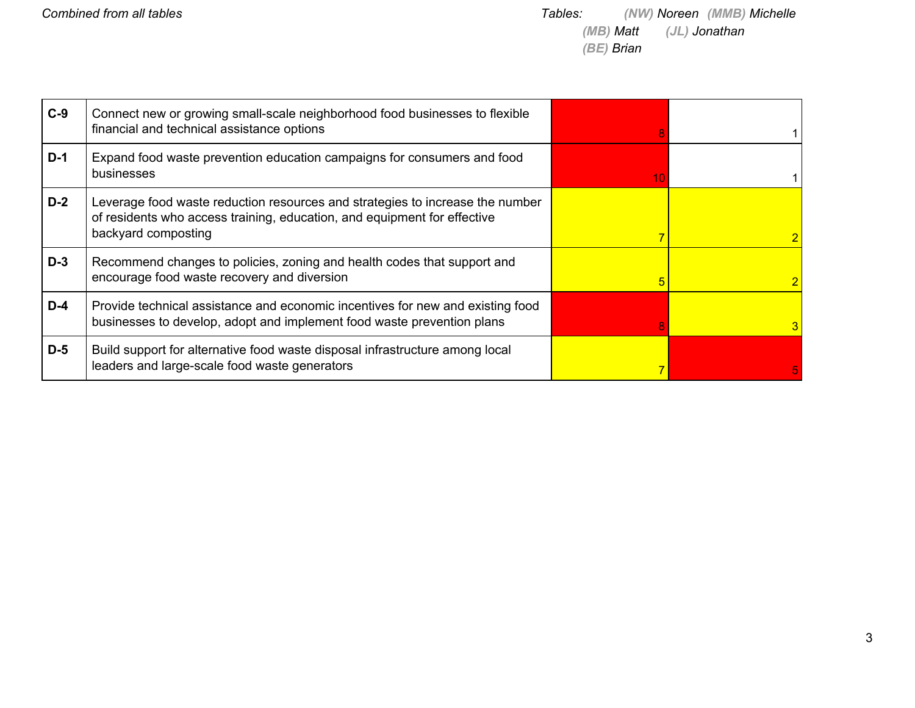| $C-9$ | Connect new or growing small-scale neighborhood food businesses to flexible<br>financial and technical assistance options                                                        |    |   |
|-------|----------------------------------------------------------------------------------------------------------------------------------------------------------------------------------|----|---|
| $D-1$ | Expand food waste prevention education campaigns for consumers and food<br>businesses                                                                                            | 10 |   |
| $D-2$ | Leverage food waste reduction resources and strategies to increase the number<br>of residents who access training, education, and equipment for effective<br>backyard composting |    |   |
| $D-3$ | Recommend changes to policies, zoning and health codes that support and<br>encourage food waste recovery and diversion                                                           | 5  |   |
| $D-4$ | Provide technical assistance and economic incentives for new and existing food<br>businesses to develop, adopt and implement food waste prevention plans                         |    | 3 |
| $D-5$ | Build support for alternative food waste disposal infrastructure among local<br>leaders and large-scale food waste generators                                                    |    |   |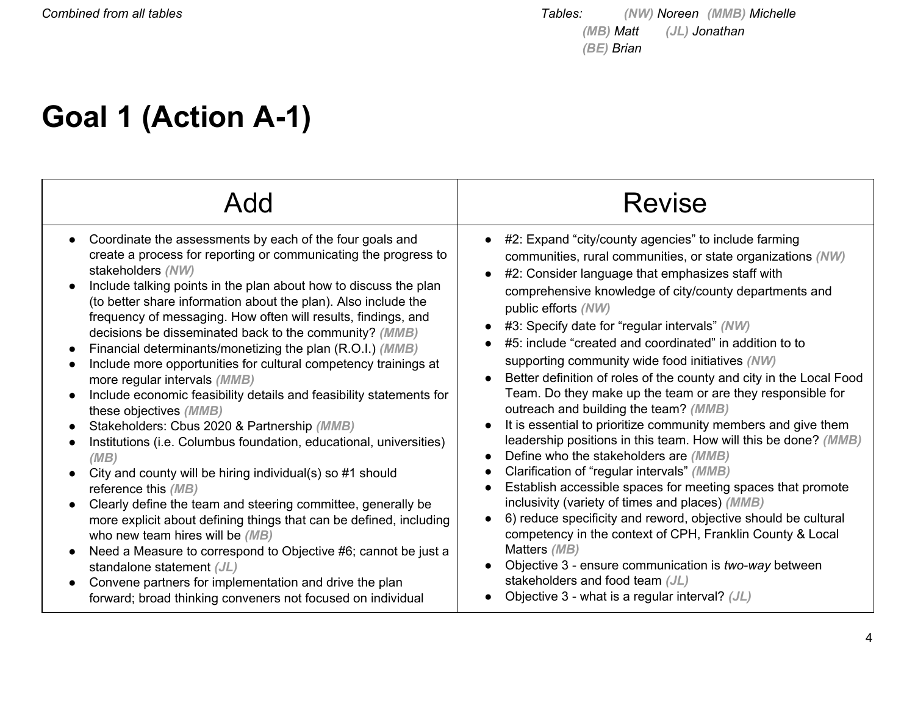# **Goal 1 (Action A-1)**

|                                                                                                                                                                                                                                                                                                                                                                                                                                                                                                                                                                                                                                                                                                                                                                                                                                                                                                                                                                                                                                                                                                                                                                                                                                                                                                      | <b>Revise</b>                                                                                                                                                                                                                                                                                                                                                                                                                                                                                                                                                                                                                                                                                                                                                                                                                                                                                                                                                                                                                                                                                                                                                                                                                                     |
|------------------------------------------------------------------------------------------------------------------------------------------------------------------------------------------------------------------------------------------------------------------------------------------------------------------------------------------------------------------------------------------------------------------------------------------------------------------------------------------------------------------------------------------------------------------------------------------------------------------------------------------------------------------------------------------------------------------------------------------------------------------------------------------------------------------------------------------------------------------------------------------------------------------------------------------------------------------------------------------------------------------------------------------------------------------------------------------------------------------------------------------------------------------------------------------------------------------------------------------------------------------------------------------------------|---------------------------------------------------------------------------------------------------------------------------------------------------------------------------------------------------------------------------------------------------------------------------------------------------------------------------------------------------------------------------------------------------------------------------------------------------------------------------------------------------------------------------------------------------------------------------------------------------------------------------------------------------------------------------------------------------------------------------------------------------------------------------------------------------------------------------------------------------------------------------------------------------------------------------------------------------------------------------------------------------------------------------------------------------------------------------------------------------------------------------------------------------------------------------------------------------------------------------------------------------|
| Coordinate the assessments by each of the four goals and<br>create a process for reporting or communicating the progress to<br>stakeholders (NW)<br>Include talking points in the plan about how to discuss the plan<br>(to better share information about the plan). Also include the<br>frequency of messaging. How often will results, findings, and<br>decisions be disseminated back to the community? (MMB)<br>Financial determinants/monetizing the plan (R.O.I.) (MMB)<br>Include more opportunities for cultural competency trainings at<br>more regular intervals (MMB)<br>Include economic feasibility details and feasibility statements for<br>these objectives (MMB)<br>Stakeholders: Cbus 2020 & Partnership (MMB)<br>Institutions (i.e. Columbus foundation, educational, universities)<br>(MB)<br>City and county will be hiring individual(s) so #1 should<br>reference this (MB)<br>Clearly define the team and steering committee, generally be<br>more explicit about defining things that can be defined, including<br>who new team hires will be (MB)<br>Need a Measure to correspond to Objective #6; cannot be just a<br>standalone statement (JL)<br>Convene partners for implementation and drive the plan<br>forward; broad thinking conveners not focused on individual | #2: Expand "city/county agencies" to include farming<br>communities, rural communities, or state organizations (NW)<br>#2: Consider language that emphasizes staff with<br>comprehensive knowledge of city/county departments and<br>public efforts (NW)<br>#3: Specify date for "regular intervals" (NW)<br>#5: include "created and coordinated" in addition to to<br>supporting community wide food initiatives (NW)<br>Better definition of roles of the county and city in the Local Food<br>Team. Do they make up the team or are they responsible for<br>outreach and building the team? (MMB)<br>It is essential to prioritize community members and give them<br>leadership positions in this team. How will this be done? (MMB)<br>Define who the stakeholders are (MMB)<br>Clarification of "regular intervals" (MMB)<br>Establish accessible spaces for meeting spaces that promote<br>inclusivity (variety of times and places) (MMB)<br>6) reduce specificity and reword, objective should be cultural<br>competency in the context of CPH, Franklin County & Local<br>Matters (MB)<br>Objective 3 - ensure communication is two-way between<br>stakeholders and food team (JL)<br>Objective 3 - what is a regular interval? $(JL)$ |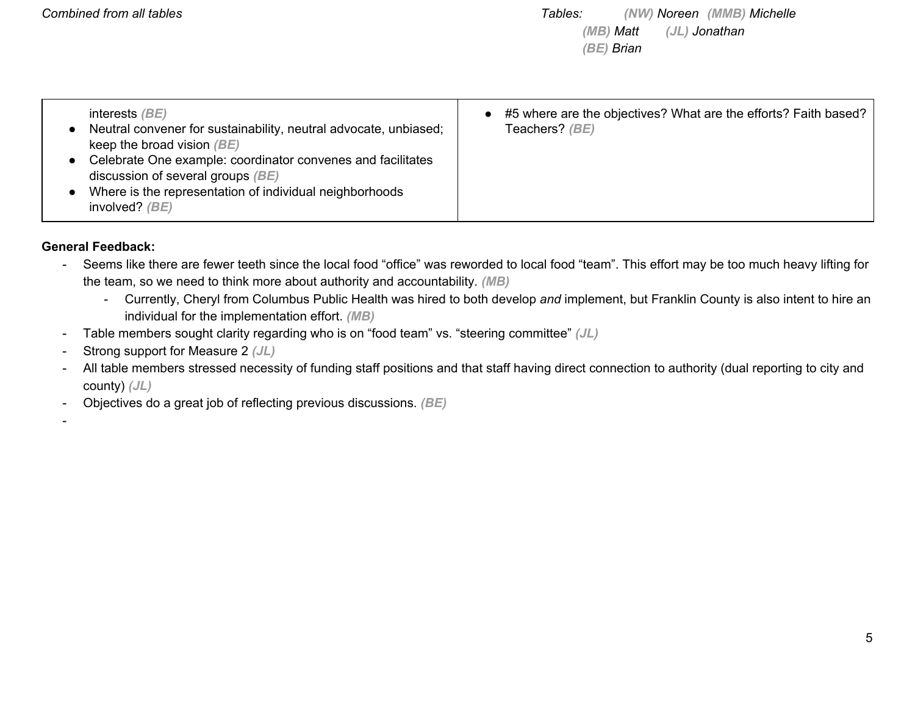| interests $\langle BE \rangle$<br>Neutral convener for sustainability, neutral advocate, unbiased;<br>keep the broad vision $(BE)$<br>Celebrate One example: coordinator convenes and facilitates<br>discussion of several groups $(BE)$<br>Where is the representation of individual neighborhoods<br>involved? $(BE)$ | • #5 where are the objectives? What are the efforts? Faith based?<br>Teachers? (BE) |
|-------------------------------------------------------------------------------------------------------------------------------------------------------------------------------------------------------------------------------------------------------------------------------------------------------------------------|-------------------------------------------------------------------------------------|
|-------------------------------------------------------------------------------------------------------------------------------------------------------------------------------------------------------------------------------------------------------------------------------------------------------------------------|-------------------------------------------------------------------------------------|

#### **General Feedback:**

- Seems like there are fewer teeth since the local food "office" was reworded to local food "team". This effort may be too much heavy lifting for the team, so we need to think more about authority and accountability. *(MB)*
	- Currently, Cheryl from Columbus Public Health was hired to both develop *and* implement, but Franklin County is also intent to hire an individual for the implementation effort. *(MB)*
- Table members sought clarity regarding who is on "food team" vs. "steering committee" *(JL)*
- Strong support for Measure 2 *(JL)*
- All table members stressed necessity of funding staff positions and that staff having direct connection to authority (dual reporting to city and county) *(JL)*
- Objectives do a great job of reflecting previous discussions. *(BE)*

-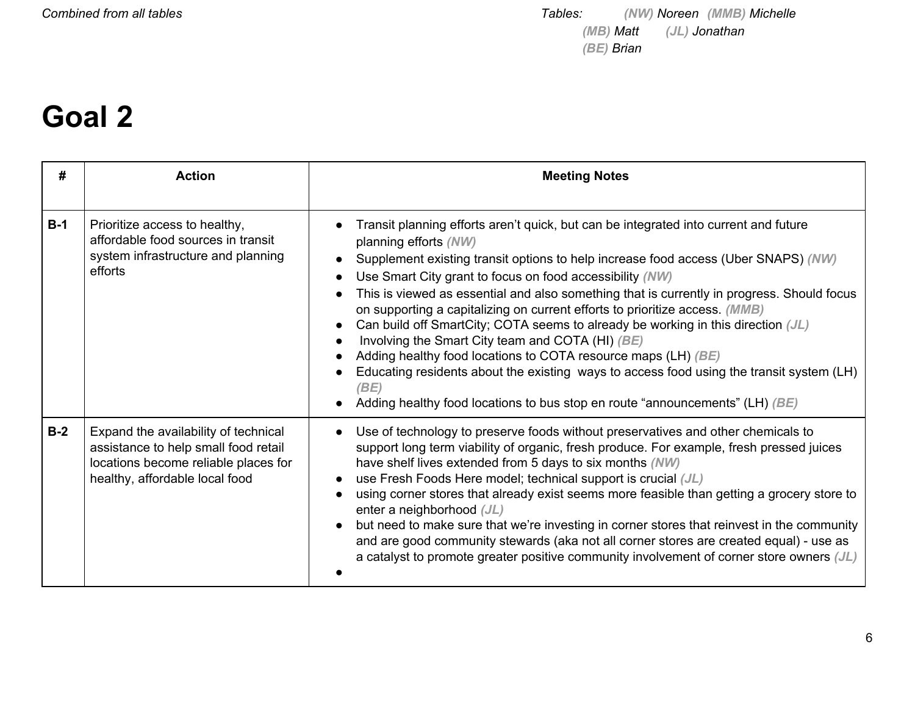### **Goal 2**

| #     | <b>Action</b>                                                                                                                                          | <b>Meeting Notes</b>                                                                                                                                                                                                                                                                                                                                                                                                                                                                                                                                                                                                                                                                                                                                                                                                                        |
|-------|--------------------------------------------------------------------------------------------------------------------------------------------------------|---------------------------------------------------------------------------------------------------------------------------------------------------------------------------------------------------------------------------------------------------------------------------------------------------------------------------------------------------------------------------------------------------------------------------------------------------------------------------------------------------------------------------------------------------------------------------------------------------------------------------------------------------------------------------------------------------------------------------------------------------------------------------------------------------------------------------------------------|
| $B-1$ | Prioritize access to healthy,<br>affordable food sources in transit<br>system infrastructure and planning<br>efforts                                   | Transit planning efforts aren't quick, but can be integrated into current and future<br>planning efforts (NW)<br>Supplement existing transit options to help increase food access (Uber SNAPS) (NW)<br>Use Smart City grant to focus on food accessibility (NW)<br>This is viewed as essential and also something that is currently in progress. Should focus<br>on supporting a capitalizing on current efforts to prioritize access. (MMB)<br>Can build off SmartCity; COTA seems to already be working in this direction (JL)<br>Involving the Smart City team and COTA (HI) (BE)<br>Adding healthy food locations to COTA resource maps (LH) (BE)<br>Educating residents about the existing ways to access food using the transit system (LH)<br>(BE)<br>Adding healthy food locations to bus stop en route "announcements" (LH) $(BE)$ |
| $B-2$ | Expand the availability of technical<br>assistance to help small food retail<br>locations become reliable places for<br>healthy, affordable local food | Use of technology to preserve foods without preservatives and other chemicals to<br>support long term viability of organic, fresh produce. For example, fresh pressed juices<br>have shelf lives extended from 5 days to six months (NW)<br>use Fresh Foods Here model; technical support is crucial (JL)<br>using corner stores that already exist seems more feasible than getting a grocery store to<br>enter a neighborhood (JL)<br>but need to make sure that we're investing in corner stores that reinvest in the community<br>and are good community stewards (aka not all corner stores are created equal) - use as<br>a catalyst to promote greater positive community involvement of corner store owners (JL)                                                                                                                    |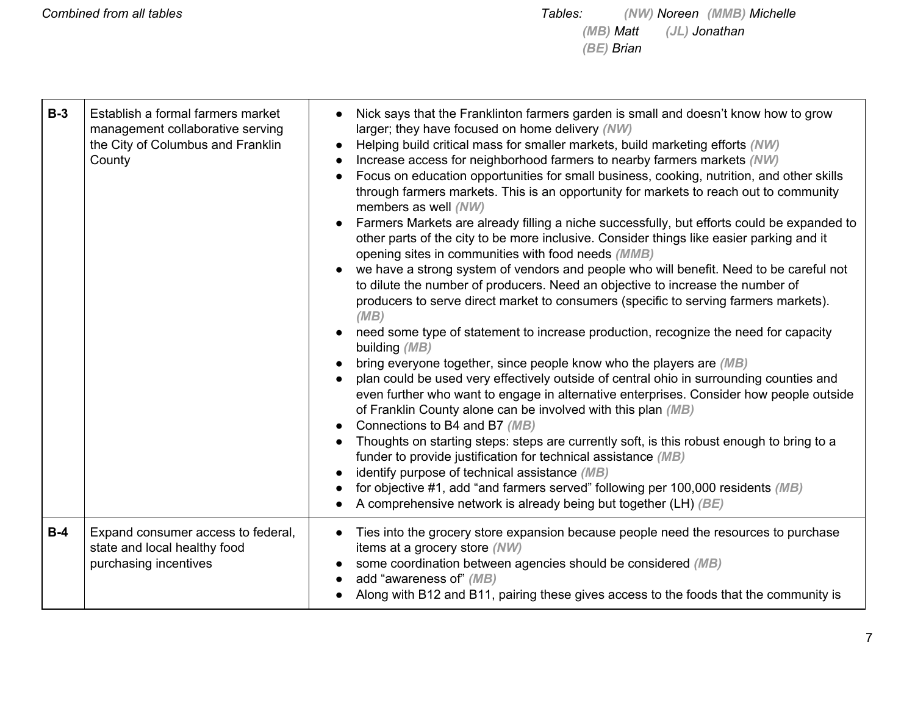| $B-3$ | Establish a formal farmers market<br>management collaborative serving<br>the City of Columbus and Franklin<br>County | Nick says that the Franklinton farmers garden is small and doesn't know how to grow<br>larger; they have focused on home delivery (NW)<br>Helping build critical mass for smaller markets, build marketing efforts (NW)<br>Increase access for neighborhood farmers to nearby farmers markets (NW)<br>Focus on education opportunities for small business, cooking, nutrition, and other skills<br>through farmers markets. This is an opportunity for markets to reach out to community<br>members as well (NW)<br>Farmers Markets are already filling a niche successfully, but efforts could be expanded to<br>other parts of the city to be more inclusive. Consider things like easier parking and it<br>opening sites in communities with food needs (MMB)<br>we have a strong system of vendors and people who will benefit. Need to be careful not<br>to dilute the number of producers. Need an objective to increase the number of<br>producers to serve direct market to consumers (specific to serving farmers markets).<br>(MB)<br>need some type of statement to increase production, recognize the need for capacity<br>building (MB)<br>bring everyone together, since people know who the players are (MB)<br>plan could be used very effectively outside of central ohio in surrounding counties and<br>even further who want to engage in alternative enterprises. Consider how people outside<br>of Franklin County alone can be involved with this plan (MB)<br>Connections to B4 and B7 (MB)<br>Thoughts on starting steps: steps are currently soft, is this robust enough to bring to a<br>funder to provide justification for technical assistance (MB)<br>identify purpose of technical assistance (MB)<br>for objective #1, add "and farmers served" following per 100,000 residents (MB)<br>A comprehensive network is already being but together (LH) (BE) |
|-------|----------------------------------------------------------------------------------------------------------------------|-----------------------------------------------------------------------------------------------------------------------------------------------------------------------------------------------------------------------------------------------------------------------------------------------------------------------------------------------------------------------------------------------------------------------------------------------------------------------------------------------------------------------------------------------------------------------------------------------------------------------------------------------------------------------------------------------------------------------------------------------------------------------------------------------------------------------------------------------------------------------------------------------------------------------------------------------------------------------------------------------------------------------------------------------------------------------------------------------------------------------------------------------------------------------------------------------------------------------------------------------------------------------------------------------------------------------------------------------------------------------------------------------------------------------------------------------------------------------------------------------------------------------------------------------------------------------------------------------------------------------------------------------------------------------------------------------------------------------------------------------------------------------------------------------------------------------------------------------------------------------------------------|
| $B-4$ | Expand consumer access to federal,<br>state and local healthy food<br>purchasing incentives                          | Ties into the grocery store expansion because people need the resources to purchase<br>items at a grocery store (NW)<br>some coordination between agencies should be considered (MB)<br>add "awareness of" (MB)<br>Along with B12 and B11, pairing these gives access to the foods that the community is                                                                                                                                                                                                                                                                                                                                                                                                                                                                                                                                                                                                                                                                                                                                                                                                                                                                                                                                                                                                                                                                                                                                                                                                                                                                                                                                                                                                                                                                                                                                                                                |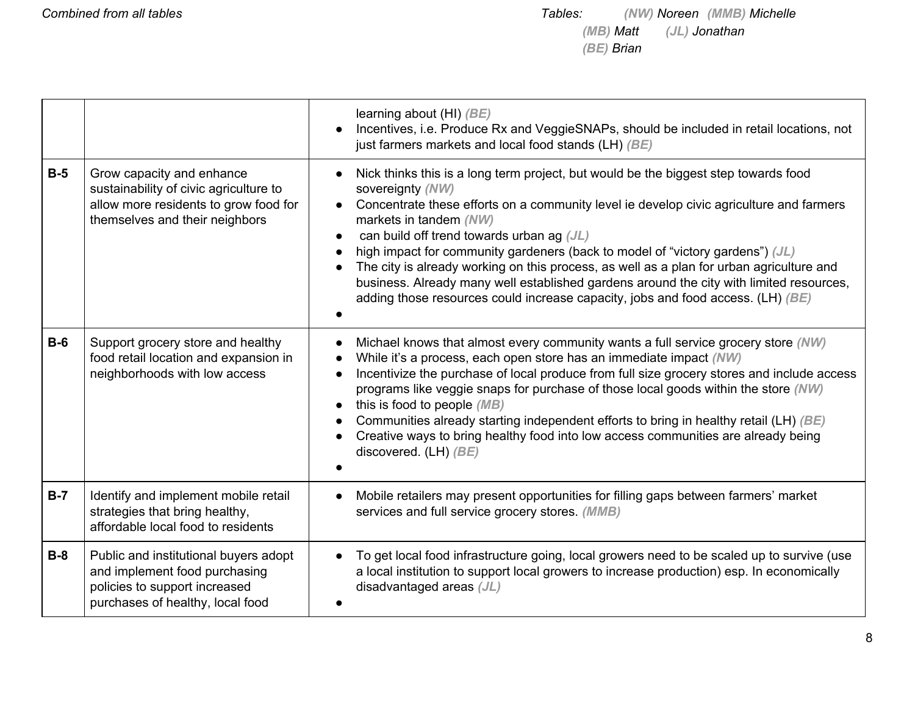|       |                                                                                                                                                | learning about (HI) (BE)<br>Incentives, i.e. Produce Rx and VeggieSNAPs, should be included in retail locations, not<br>just farmers markets and local food stands (LH) (BE)                                                                                                                                                                                                                                                                                                                                                                                                                                                         |
|-------|------------------------------------------------------------------------------------------------------------------------------------------------|--------------------------------------------------------------------------------------------------------------------------------------------------------------------------------------------------------------------------------------------------------------------------------------------------------------------------------------------------------------------------------------------------------------------------------------------------------------------------------------------------------------------------------------------------------------------------------------------------------------------------------------|
| $B-5$ | Grow capacity and enhance<br>sustainability of civic agriculture to<br>allow more residents to grow food for<br>themselves and their neighbors | Nick thinks this is a long term project, but would be the biggest step towards food<br>sovereignty (NW)<br>Concentrate these efforts on a community level ie develop civic agriculture and farmers<br>markets in tandem (NW)<br>can build off trend towards urban ag (JL)<br>high impact for community gardeners (back to model of "victory gardens") (JL)<br>The city is already working on this process, as well as a plan for urban agriculture and<br>business. Already many well established gardens around the city with limited resources,<br>adding those resources could increase capacity, jobs and food access. (LH) (BE) |
| $B-6$ | Support grocery store and healthy<br>food retail location and expansion in<br>neighborhoods with low access                                    | Michael knows that almost every community wants a full service grocery store (NW)<br>$\bullet$<br>While it's a process, each open store has an immediate impact (NW)<br>Incentivize the purchase of local produce from full size grocery stores and include access<br>programs like veggie snaps for purchase of those local goods within the store (NW)<br>this is food to people (MB)<br>$\bullet$<br>Communities already starting independent efforts to bring in healthy retail (LH) (BE)<br>Creative ways to bring healthy food into low access communities are already being<br>discovered. (LH) (BE)                          |
| $B-7$ | Identify and implement mobile retail<br>strategies that bring healthy,<br>affordable local food to residents                                   | Mobile retailers may present opportunities for filling gaps between farmers' market<br>services and full service grocery stores. (MMB)                                                                                                                                                                                                                                                                                                                                                                                                                                                                                               |
| $B-8$ | Public and institutional buyers adopt<br>and implement food purchasing<br>policies to support increased<br>purchases of healthy, local food    | To get local food infrastructure going, local growers need to be scaled up to survive (use<br>$\bullet$<br>a local institution to support local growers to increase production) esp. In economically<br>disadvantaged areas $(JL)$                                                                                                                                                                                                                                                                                                                                                                                                   |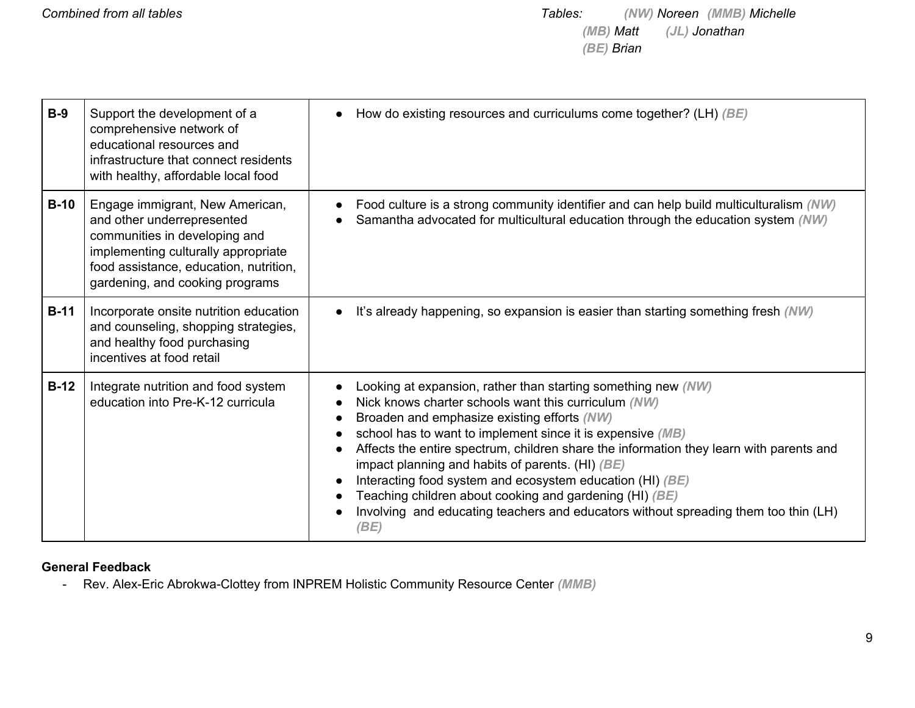| $B-9$  | Support the development of a<br>comprehensive network of<br>educational resources and<br>infrastructure that connect residents<br>with healthy, affordable local food                                              | How do existing resources and curriculums come together? (LH) $(BE)$                                                                                                                                                                                                                                                                                                                                                                                                                                                                                                                                       |
|--------|--------------------------------------------------------------------------------------------------------------------------------------------------------------------------------------------------------------------|------------------------------------------------------------------------------------------------------------------------------------------------------------------------------------------------------------------------------------------------------------------------------------------------------------------------------------------------------------------------------------------------------------------------------------------------------------------------------------------------------------------------------------------------------------------------------------------------------------|
| $B-10$ | Engage immigrant, New American,<br>and other underrepresented<br>communities in developing and<br>implementing culturally appropriate<br>food assistance, education, nutrition,<br>gardening, and cooking programs | Food culture is a strong community identifier and can help build multiculturalism (NW)<br>Samantha advocated for multicultural education through the education system (NW)                                                                                                                                                                                                                                                                                                                                                                                                                                 |
| $B-11$ | Incorporate onsite nutrition education<br>and counseling, shopping strategies,<br>and healthy food purchasing<br>incentives at food retail                                                                         | It's already happening, so expansion is easier than starting something fresh (NW)                                                                                                                                                                                                                                                                                                                                                                                                                                                                                                                          |
| $B-12$ | Integrate nutrition and food system<br>education into Pre-K-12 curricula                                                                                                                                           | Looking at expansion, rather than starting something new (NW)<br>Nick knows charter schools want this curriculum (NW)<br>Broaden and emphasize existing efforts (NW)<br>school has to want to implement since it is expensive (MB)<br>Affects the entire spectrum, children share the information they learn with parents and<br>impact planning and habits of parents. (HI) $(BE)$<br>Interacting food system and ecosystem education (HI) (BE)<br>Teaching children about cooking and gardening (HI) (BE)<br>Involving and educating teachers and educators without spreading them too thin (LH)<br>(BE) |

#### **General Feedback**

- Rev. Alex-Eric Abrokwa-Clottey from INPREM Holistic Community Resource Center *(MMB)*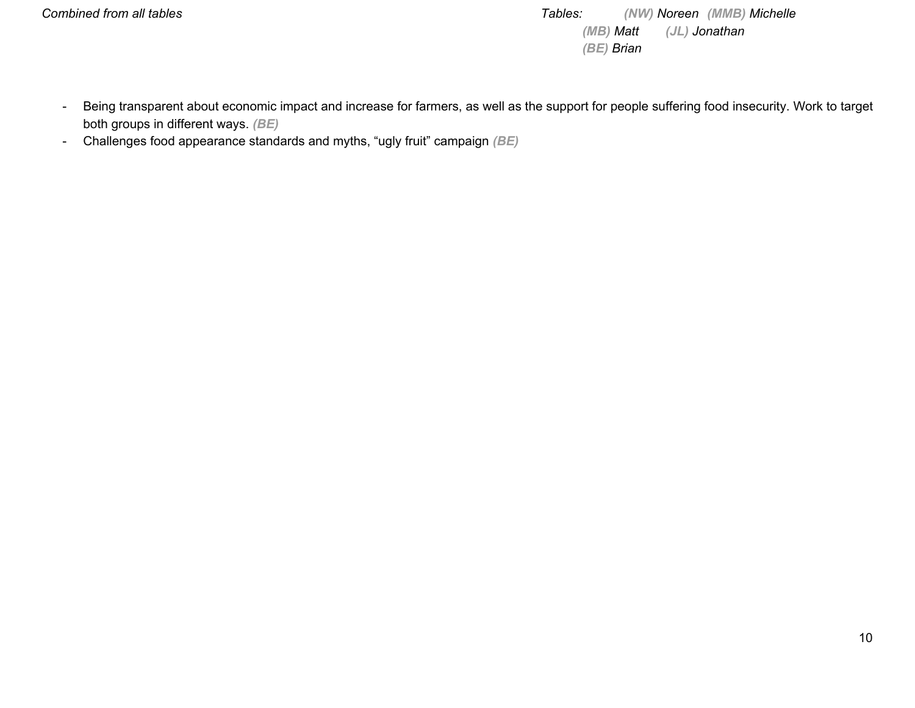*Combined from all tables Tables: (NW) Noreen (MMB) Michelle (MB) Matt (JL) Jonathan (BE) Brian*

- Being transparent about economic impact and increase for farmers, as well as the support for people suffering food insecurity. Work to target both groups in different ways. *(BE)*
- Challenges food appearance standards and myths, "ugly fruit" campaign *(BE)*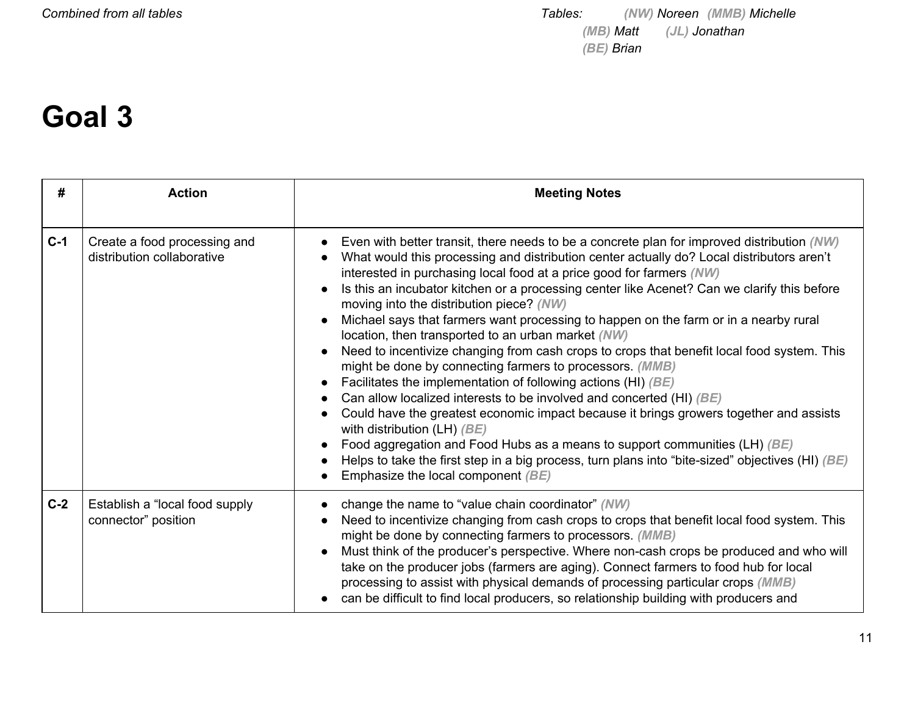### **Goal 3**

| #     | <b>Action</b>                                              | <b>Meeting Notes</b>                                                                                                                                                                                                                                                                                                                                                                                                                                                                                                                                                                                                                                                                                                                                                                                                                                                                                                                                                                                                                                                                                                                                                                                                                                                   |
|-------|------------------------------------------------------------|------------------------------------------------------------------------------------------------------------------------------------------------------------------------------------------------------------------------------------------------------------------------------------------------------------------------------------------------------------------------------------------------------------------------------------------------------------------------------------------------------------------------------------------------------------------------------------------------------------------------------------------------------------------------------------------------------------------------------------------------------------------------------------------------------------------------------------------------------------------------------------------------------------------------------------------------------------------------------------------------------------------------------------------------------------------------------------------------------------------------------------------------------------------------------------------------------------------------------------------------------------------------|
| $C-1$ | Create a food processing and<br>distribution collaborative | Even with better transit, there needs to be a concrete plan for improved distribution (NW)<br>$\bullet$<br>What would this processing and distribution center actually do? Local distributors aren't<br>interested in purchasing local food at a price good for farmers (NW)<br>Is this an incubator kitchen or a processing center like Acenet? Can we clarify this before<br>$\bullet$<br>moving into the distribution piece? (NW)<br>Michael says that farmers want processing to happen on the farm or in a nearby rural<br>location, then transported to an urban market (NW)<br>Need to incentivize changing from cash crops to crops that benefit local food system. This<br>$\bullet$<br>might be done by connecting farmers to processors. (MMB)<br>Facilitates the implementation of following actions (HI) (BE)<br>$\bullet$<br>Can allow localized interests to be involved and concerted (HI) (BE)<br>Could have the greatest economic impact because it brings growers together and assists<br>with distribution (LH) $(BE)$<br>Food aggregation and Food Hubs as a means to support communities (LH) (BE)<br>Helps to take the first step in a big process, turn plans into "bite-sized" objectives (HI) $(BE)$<br>Emphasize the local component $(BE)$ |
| $C-2$ | Establish a "local food supply<br>connector" position      | change the name to "value chain coordinator" (NW)<br>Need to incentivize changing from cash crops to crops that benefit local food system. This<br>might be done by connecting farmers to processors. (MMB)<br>Must think of the producer's perspective. Where non-cash crops be produced and who will<br>take on the producer jobs (farmers are aging). Connect farmers to food hub for local<br>processing to assist with physical demands of processing particular crops (MMB)<br>can be difficult to find local producers, so relationship building with producers and                                                                                                                                                                                                                                                                                                                                                                                                                                                                                                                                                                                                                                                                                             |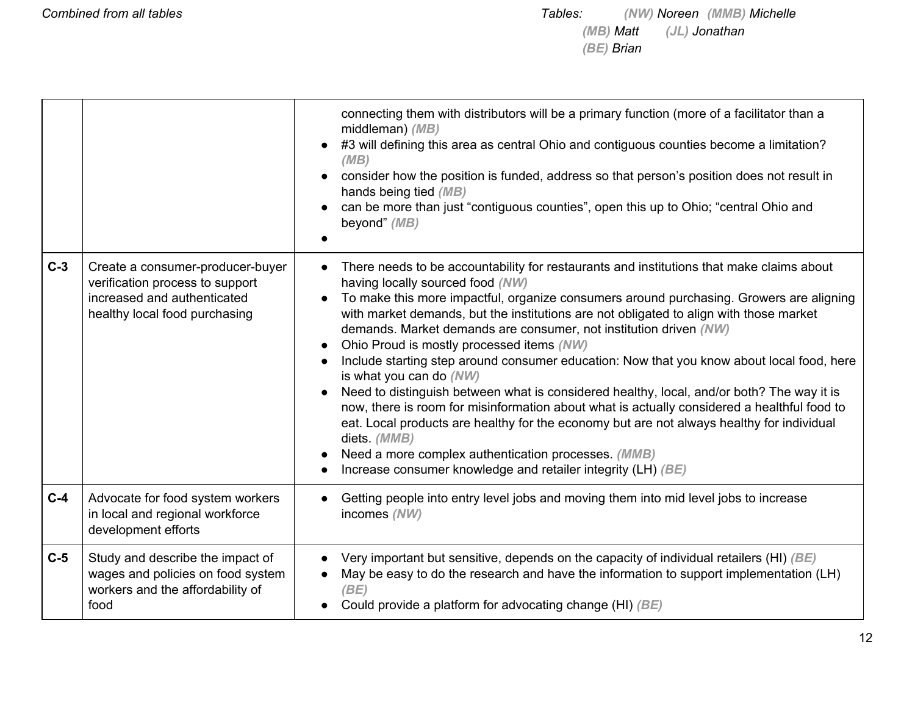|       |                                                                                                                                     | connecting them with distributors will be a primary function (more of a facilitator than a<br>middleman) (MB)<br>#3 will defining this area as central Ohio and contiguous counties become a limitation?<br>(MB)<br>consider how the position is funded, address so that person's position does not result in<br>hands being tied (MB)<br>can be more than just "contiguous counties", open this up to Ohio; "central Ohio and<br>beyond" (MB)                                                                                                                                                                                                                                                                                                                                                                                                                                                                                                                                              |
|-------|-------------------------------------------------------------------------------------------------------------------------------------|---------------------------------------------------------------------------------------------------------------------------------------------------------------------------------------------------------------------------------------------------------------------------------------------------------------------------------------------------------------------------------------------------------------------------------------------------------------------------------------------------------------------------------------------------------------------------------------------------------------------------------------------------------------------------------------------------------------------------------------------------------------------------------------------------------------------------------------------------------------------------------------------------------------------------------------------------------------------------------------------|
| $C-3$ | Create a consumer-producer-buyer<br>verification process to support<br>increased and authenticated<br>healthy local food purchasing | There needs to be accountability for restaurants and institutions that make claims about<br>having locally sourced food (NW)<br>To make this more impactful, organize consumers around purchasing. Growers are aligning<br>with market demands, but the institutions are not obligated to align with those market<br>demands. Market demands are consumer, not institution driven (NW)<br>Ohio Proud is mostly processed items (NW)<br>Include starting step around consumer education: Now that you know about local food, here<br>is what you can do (NW)<br>Need to distinguish between what is considered healthy, local, and/or both? The way it is<br>now, there is room for misinformation about what is actually considered a healthful food to<br>eat. Local products are healthy for the economy but are not always healthy for individual<br>diets. (MMB)<br>Need a more complex authentication processes. (MMB)<br>Increase consumer knowledge and retailer integrity (LH) (BE) |
| $C-4$ | Advocate for food system workers<br>in local and regional workforce<br>development efforts                                          | Getting people into entry level jobs and moving them into mid level jobs to increase<br>incomes (NW)                                                                                                                                                                                                                                                                                                                                                                                                                                                                                                                                                                                                                                                                                                                                                                                                                                                                                        |
| $C-5$ | Study and describe the impact of<br>wages and policies on food system<br>workers and the affordability of<br>food                   | Very important but sensitive, depends on the capacity of individual retailers (HI) $(BE)$<br>May be easy to do the research and have the information to support implementation (LH)<br>(BE)<br>Could provide a platform for advocating change (HI) (BE)                                                                                                                                                                                                                                                                                                                                                                                                                                                                                                                                                                                                                                                                                                                                     |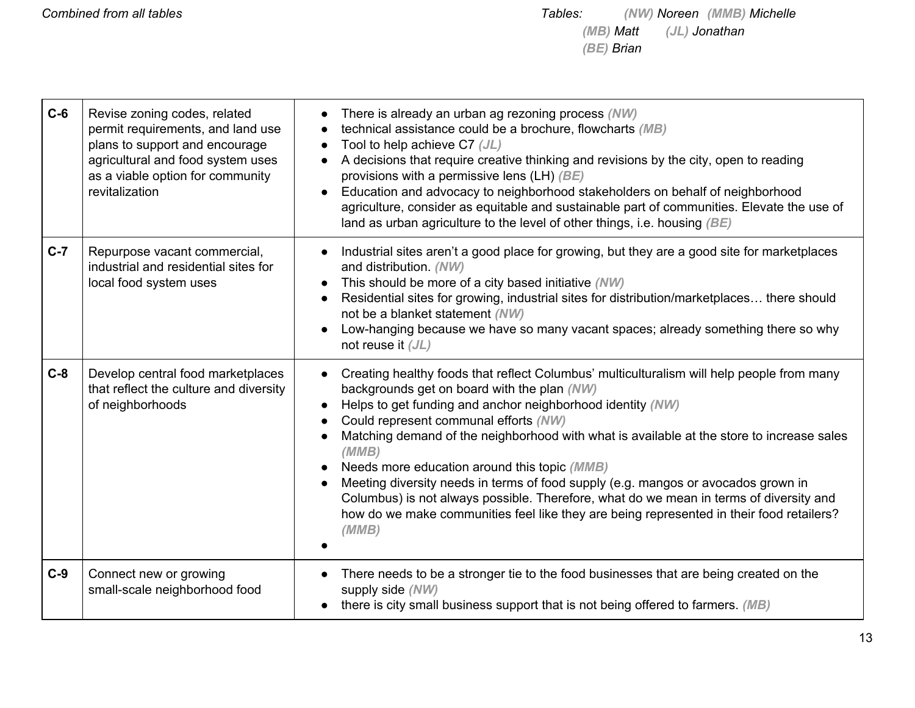| $C-6$ | Revise zoning codes, related<br>permit requirements, and land use<br>plans to support and encourage<br>agricultural and food system uses<br>as a viable option for community<br>revitalization | There is already an urban ag rezoning process (NW)<br>technical assistance could be a brochure, flowcharts (MB)<br>Tool to help achieve C7 (JL)<br>A decisions that require creative thinking and revisions by the city, open to reading<br>provisions with a permissive lens (LH) (BE)<br>Education and advocacy to neighborhood stakeholders on behalf of neighborhood<br>agriculture, consider as equitable and sustainable part of communities. Elevate the use of<br>land as urban agriculture to the level of other things, i.e. housing $(BE)$                                                                                                                                     |
|-------|------------------------------------------------------------------------------------------------------------------------------------------------------------------------------------------------|-------------------------------------------------------------------------------------------------------------------------------------------------------------------------------------------------------------------------------------------------------------------------------------------------------------------------------------------------------------------------------------------------------------------------------------------------------------------------------------------------------------------------------------------------------------------------------------------------------------------------------------------------------------------------------------------|
| $C-7$ | Repurpose vacant commercial,<br>industrial and residential sites for<br>local food system uses                                                                                                 | Industrial sites aren't a good place for growing, but they are a good site for marketplaces<br>and distribution. (NW)<br>This should be more of a city based initiative (NW)<br>Residential sites for growing, industrial sites for distribution/marketplaces there should<br>not be a blanket statement (NW)<br>Low-hanging because we have so many vacant spaces; already something there so why<br>not reuse it $(JL)$                                                                                                                                                                                                                                                                 |
| $C-8$ | Develop central food marketplaces<br>that reflect the culture and diversity<br>of neighborhoods                                                                                                | Creating healthy foods that reflect Columbus' multiculturalism will help people from many<br>backgrounds get on board with the plan (NW)<br>Helps to get funding and anchor neighborhood identity (NW)<br>Could represent communal efforts (NW)<br>Matching demand of the neighborhood with what is available at the store to increase sales<br>(MMB)<br>Needs more education around this topic (MMB)<br>Meeting diversity needs in terms of food supply (e.g. mangos or avocados grown in<br>Columbus) is not always possible. Therefore, what do we mean in terms of diversity and<br>how do we make communities feel like they are being represented in their food retailers?<br>(MMB) |
| $C-9$ | Connect new or growing<br>small-scale neighborhood food                                                                                                                                        | There needs to be a stronger tie to the food businesses that are being created on the<br>supply side (NW)<br>there is city small business support that is not being offered to farmers. (MB)                                                                                                                                                                                                                                                                                                                                                                                                                                                                                              |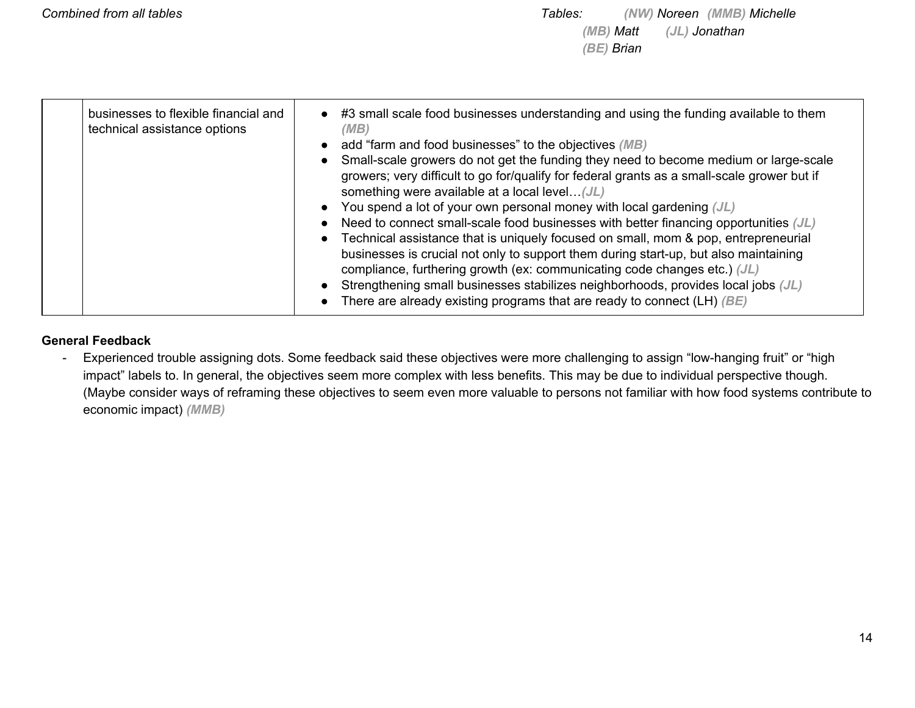#### **General Feedback**

- Experienced trouble assigning dots. Some feedback said these objectives were more challenging to assign "low-hanging fruit" or "high impact" labels to. In general, the objectives seem more complex with less benefits. This may be due to individual perspective though. (Maybe consider ways of reframing these objectives to seem even more valuable to persons not familiar with how food systems contribute to economic impact) *(MMB)*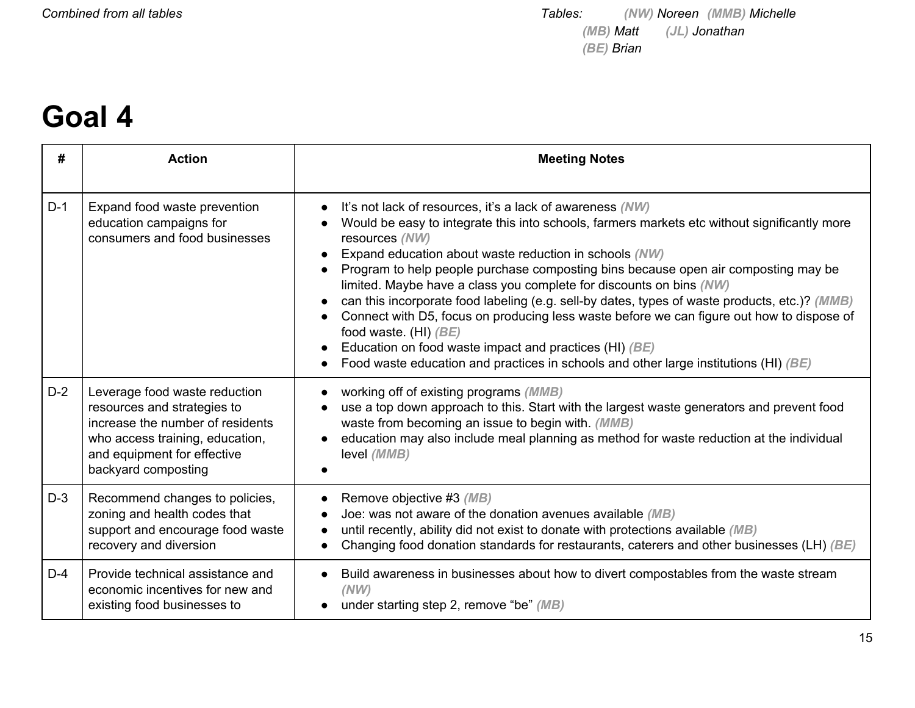## **Goal 4**

| #     | <b>Action</b>                                                                                                                                                                             | <b>Meeting Notes</b>                                                                                                                                                                                                                                                                                                                                                                                                                                                                                                                                                                                                                                                                                                                                                                       |
|-------|-------------------------------------------------------------------------------------------------------------------------------------------------------------------------------------------|--------------------------------------------------------------------------------------------------------------------------------------------------------------------------------------------------------------------------------------------------------------------------------------------------------------------------------------------------------------------------------------------------------------------------------------------------------------------------------------------------------------------------------------------------------------------------------------------------------------------------------------------------------------------------------------------------------------------------------------------------------------------------------------------|
| $D-1$ | Expand food waste prevention<br>education campaigns for<br>consumers and food businesses                                                                                                  | It's not lack of resources, it's a lack of awareness (NW)<br>$\bullet$<br>Would be easy to integrate this into schools, farmers markets etc without significantly more<br>resources (NW)<br>Expand education about waste reduction in schools (NW)<br>Program to help people purchase composting bins because open air composting may be<br>limited. Maybe have a class you complete for discounts on bins (NW)<br>can this incorporate food labeling (e.g. sell-by dates, types of waste products, etc.)? (MMB)<br>Connect with D5, focus on producing less waste before we can figure out how to dispose of<br>food waste. (HI) $(BE)$<br>Education on food waste impact and practices (HI) (BE)<br>Food waste education and practices in schools and other large institutions (HI) (BE) |
| $D-2$ | Leverage food waste reduction<br>resources and strategies to<br>increase the number of residents<br>who access training, education,<br>and equipment for effective<br>backyard composting | working off of existing programs (MMB)<br>use a top down approach to this. Start with the largest waste generators and prevent food<br>waste from becoming an issue to begin with. (MMB)<br>education may also include meal planning as method for waste reduction at the individual<br>level (MMB)                                                                                                                                                                                                                                                                                                                                                                                                                                                                                        |
| $D-3$ | Recommend changes to policies,<br>zoning and health codes that<br>support and encourage food waste<br>recovery and diversion                                                              | Remove objective #3 (MB)<br>$\bullet$<br>Joe: was not aware of the donation avenues available (MB)<br>until recently, ability did not exist to donate with protections available (MB)<br>Changing food donation standards for restaurants, caterers and other businesses (LH) (BE)<br>$\bullet$                                                                                                                                                                                                                                                                                                                                                                                                                                                                                            |
| $D-4$ | Provide technical assistance and<br>economic incentives for new and<br>existing food businesses to                                                                                        | Build awareness in businesses about how to divert compostables from the waste stream<br>(NW)<br>under starting step 2, remove "be" (MB)                                                                                                                                                                                                                                                                                                                                                                                                                                                                                                                                                                                                                                                    |